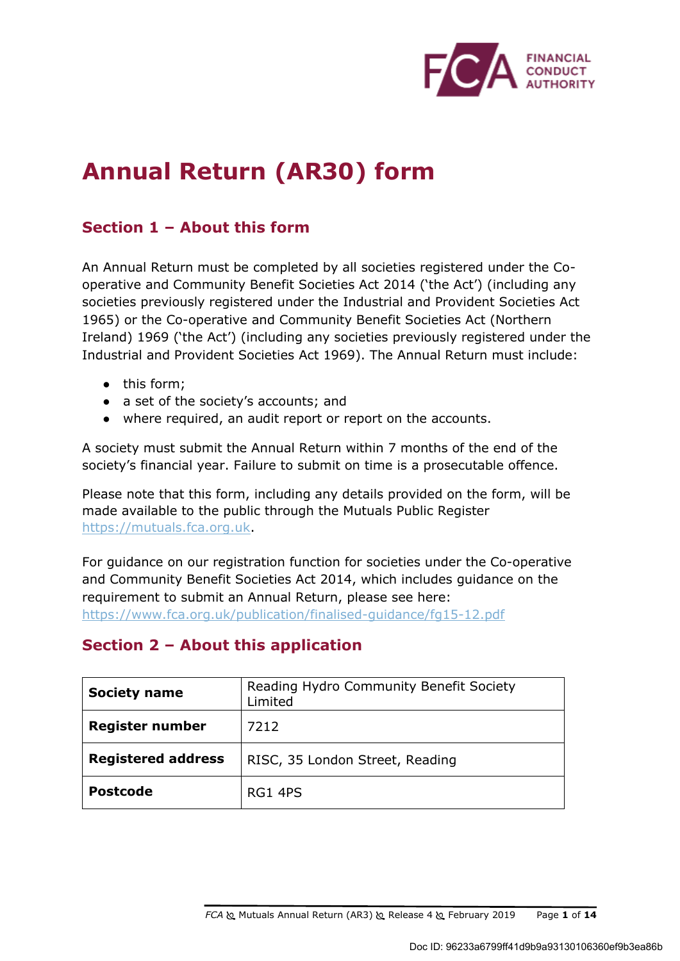

# **Annual Return (AR30) form**

## **Section 1 – About this form**

An Annual Return must be completed by all societies registered under the Cooperative and Community Benefit Societies Act 2014 ('the Act') (including any societies previously registered under the Industrial and Provident Societies Act 1965) or the Co-operative and Community Benefit Societies Act (Northern Ireland) 1969 ('the Act') (including any societies previously registered under the Industrial and Provident Societies Act 1969). The Annual Return must include:

- this form;
- a set of the society's accounts; and
- where required, an audit report or report on the accounts.

A society must submit the Annual Return within 7 months of the end of the society's financial year. Failure to submit on time is a prosecutable offence.

Please note that this form, including any details provided on the form, will be made available to the public through the Mutuals Public Register https://mutuals.fca.org.uk.

For guidance on our registration function for societies under the Co-operative and Community Benefit Societies Act 2014, which includes guidance on the requirement to submit an Annual Return, please see here: https://www.fca.org.uk/publication/finalised-guidance/fg15-12.pdf

## **Section 2 – About this application**

| <b>Society name</b>       | Reading Hydro Community Benefit Society<br>Limited |  |
|---------------------------|----------------------------------------------------|--|
| <b>Register number</b>    | 7212                                               |  |
| <b>Registered address</b> | RISC, 35 London Street, Reading                    |  |
| <b>Postcode</b>           | RG1 4PS                                            |  |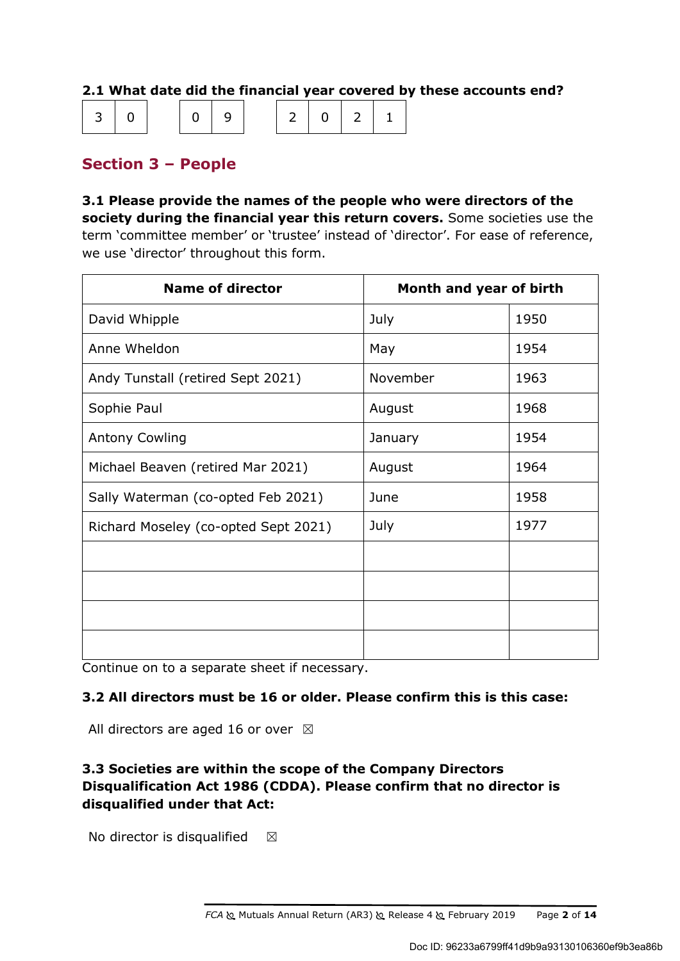## **2.1 What date did the financial year covered by these accounts end?**

| 30   0   0 9   2 0 2 1 |  |  |  |  |  |  |  |  |  |
|------------------------|--|--|--|--|--|--|--|--|--|
|------------------------|--|--|--|--|--|--|--|--|--|

## **Section 3 – People**

**3.1 Please provide the names of the people who were directors of the society during the financial year this return covers.** Some societies use the term 'committee member' or 'trustee' instead of 'director'. For ease of reference, we use 'director' throughout this form.

| <b>Name of director</b>              | Month and year of birth |      |  |
|--------------------------------------|-------------------------|------|--|
| David Whipple                        | July                    | 1950 |  |
| Anne Wheldon                         | May                     | 1954 |  |
| Andy Tunstall (retired Sept 2021)    | November                | 1963 |  |
| Sophie Paul                          | August                  | 1968 |  |
| <b>Antony Cowling</b>                | January                 | 1954 |  |
| Michael Beaven (retired Mar 2021)    | August                  | 1964 |  |
| Sally Waterman (co-opted Feb 2021)   | June                    | 1958 |  |
| Richard Moseley (co-opted Sept 2021) | July                    | 1977 |  |
|                                      |                         |      |  |
|                                      |                         |      |  |
|                                      |                         |      |  |
|                                      |                         |      |  |

Continue on to a separate sheet if necessary.

### **3.2 All directors must be 16 or older. Please confirm this is this case:**

All directors are aged 16 or over  $\boxtimes$ 

## **3.3 Societies are within the scope of the Company Directors Disqualification Act 1986 (CDDA). Please confirm that no director is disqualified under that Act:**

No director is disqualified  $\boxtimes$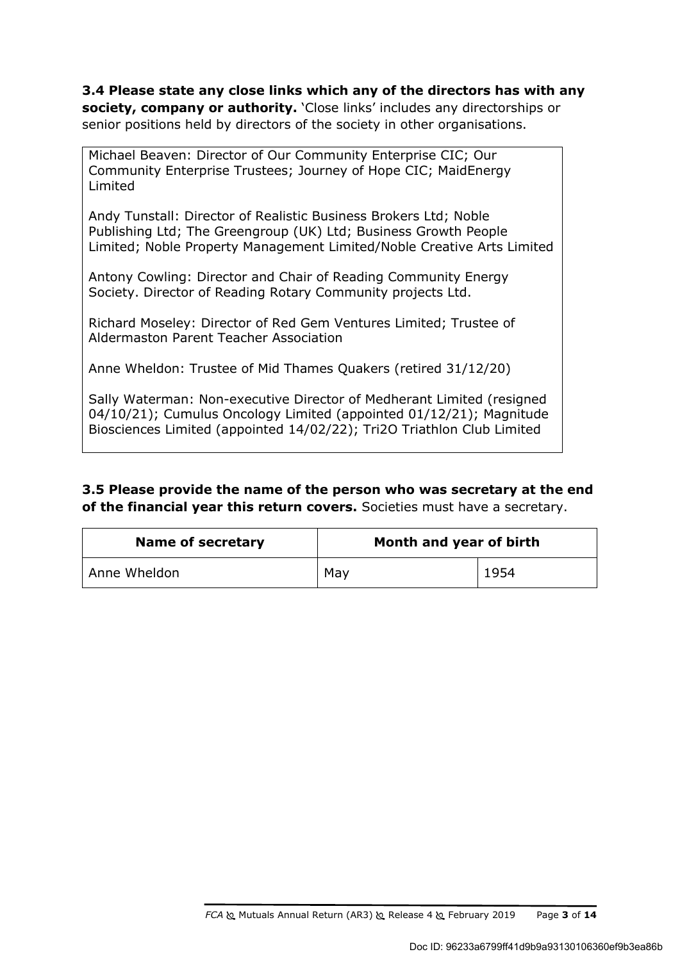**3.4 Please state any close links which any of the directors has with any society, company or authority.** 'Close links' includes any directorships or senior positions held by directors of the society in other organisations.

Michael Beaven: Director of Our Community Enterprise CIC; Our Community Enterprise Trustees; Journey of Hope CIC; MaidEnergy Limited

Andy Tunstall: Director of Realistic Business Brokers Ltd; Noble Publishing Ltd; The Greengroup (UK) Ltd; Business Growth People Limited; Noble Property Management Limited/Noble Creative Arts Limited

Antony Cowling: Director and Chair of Reading Community Energy Society. Director of Reading Rotary Community projects Ltd.

Richard Moseley: Director of Red Gem Ventures Limited; Trustee of Aldermaston Parent Teacher Association

Anne Wheldon: Trustee of Mid Thames Quakers (retired 31/12/20)

Sally Waterman: Non-executive Director of Medherant Limited (resigned 04/10/21); Cumulus Oncology Limited (appointed 01/12/21); Magnitude Biosciences Limited (appointed 14/02/22); Tri2O Triathlon Club Limited

### **3.5 Please provide the name of the person who was secretary at the end of the financial year this return covers.** Societies must have a secretary.

| <b>Name of secretary</b> | Month and year of birth |      |  |  |
|--------------------------|-------------------------|------|--|--|
| Anne Wheldon             | May                     | 1954 |  |  |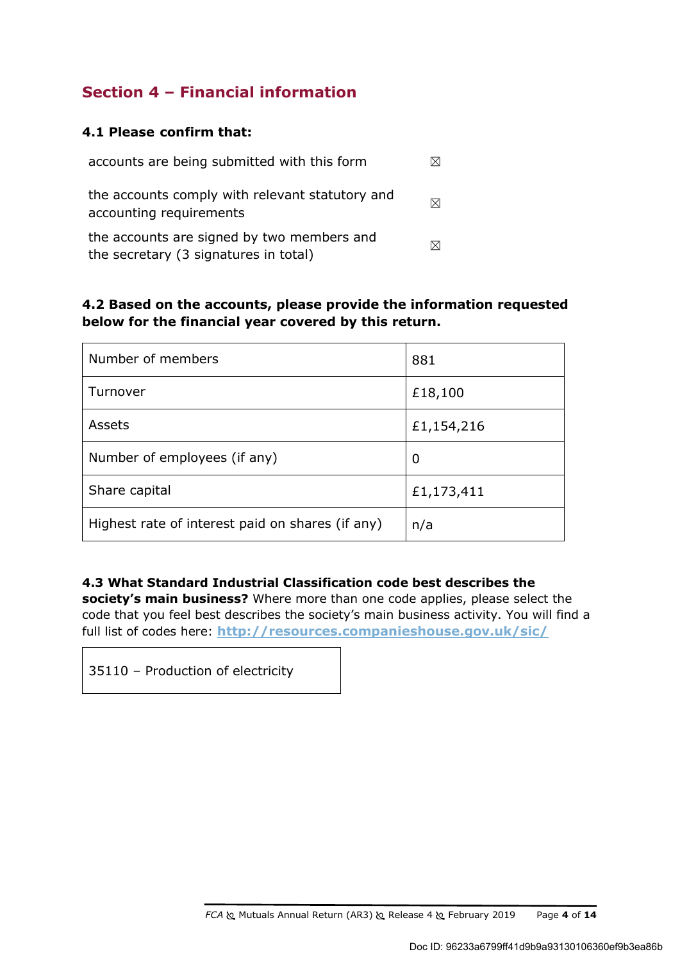## **Section 4 – Financial information**

### **4.1 Please confirm that:**

| accounts are being submitted with this form                                         |                       |
|-------------------------------------------------------------------------------------|-----------------------|
| the accounts comply with relevant statutory and<br>accounting requirements          | $\boldsymbol{\times}$ |
| the accounts are signed by two members and<br>the secretary (3 signatures in total) |                       |

## **4.2 Based on the accounts, please provide the information requested below for the financial year covered by this return.**

| Number of members                                | 881        |
|--------------------------------------------------|------------|
| Turnover                                         | £18,100    |
| Assets                                           | £1,154,216 |
| Number of employees (if any)                     | 0          |
| Share capital                                    | £1,173,411 |
| Highest rate of interest paid on shares (if any) | n/a        |

**4.3 What Standard Industrial Classification code best describes the society's main business?** Where more than one code applies, please select the code that you feel best describes the society's main business activity. You will find a full list of codes here: **http://resources.companieshouse.gov.uk/sic/**

35110 – Production of electricity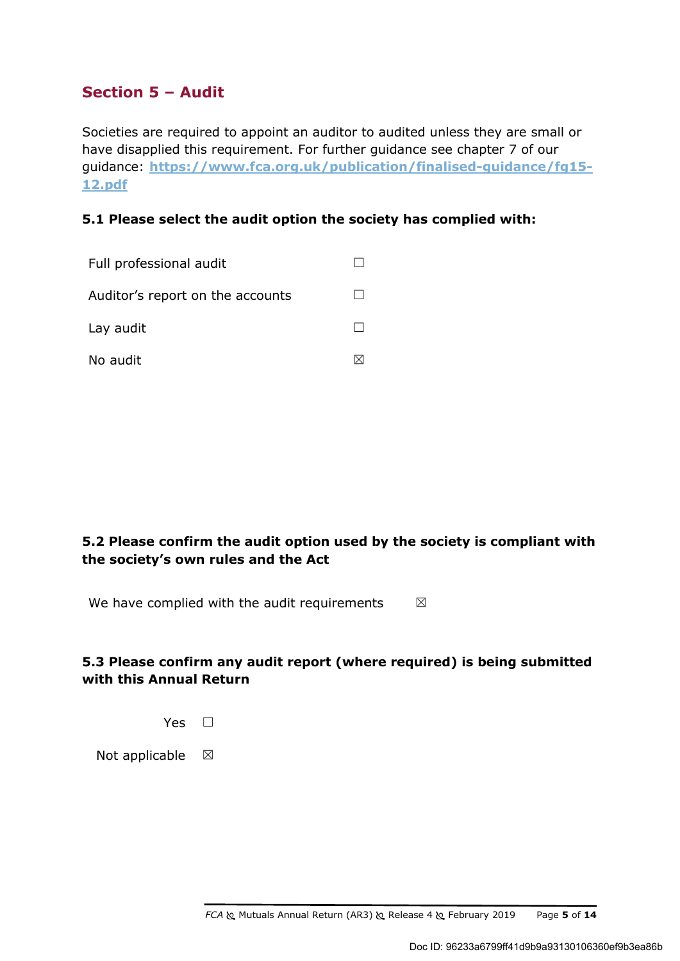## **Section 5 – Audit**

Societies are required to appoint an auditor to audited unless they are small or have disapplied this requirement. For further guidance see chapter 7 of our guidance: **https://www.fca.org.uk/publication/finalised-guidance/fg15- 12.pdf**

### **5.1 Please select the audit option the society has complied with:**

| Full professional audit          |  |
|----------------------------------|--|
| Auditor's report on the accounts |  |
| Lay audit                        |  |
| No audit                         |  |

## **5.2 Please confirm the audit option used by the society is compliant with the society's own rules and the Act**

We have complied with the audit requirements  $\boxtimes$ 

## **5.3 Please confirm any audit report (where required) is being submitted with this Annual Return**



Not applicable  $\boxtimes$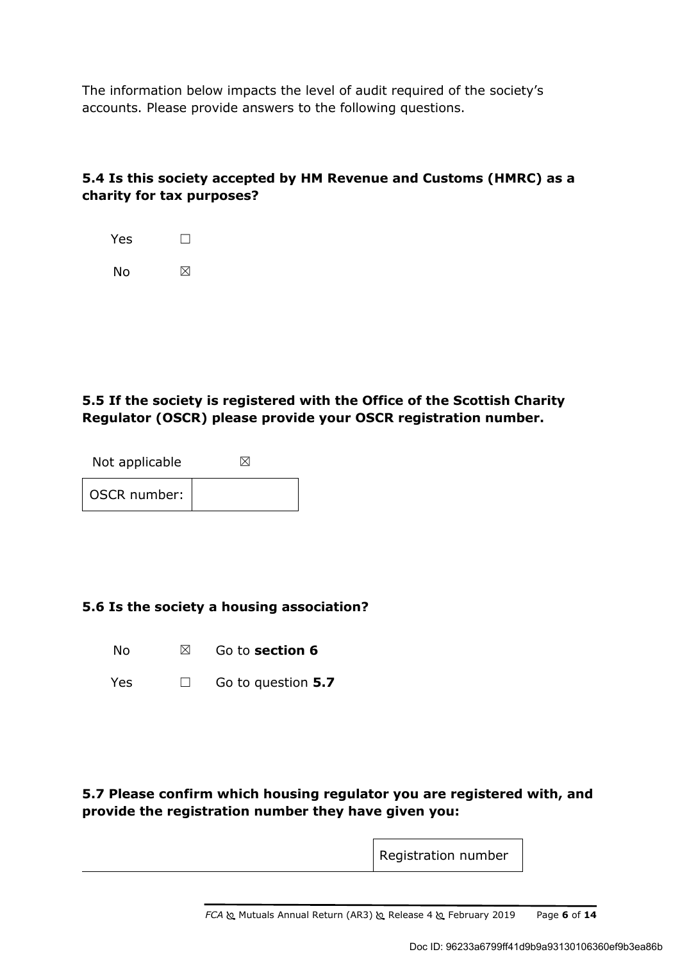The information below impacts the level of audit required of the society's accounts. Please provide answers to the following questions.

## **5.4 Is this society accepted by HM Revenue and Customs (HMRC) as a charity for tax purposes?**

| Yes | $\mathbf{L}$ |
|-----|--------------|
| No  | ⊠            |

## **5.5 If the society is registered with the Office of the Scottish Charity Regulator (OSCR) please provide your OSCR registration number.**

| Not applicable |  |
|----------------|--|
| OSCR number:   |  |

### **5.6 Is the society a housing association?**

No ☒ Go to **section 6**

Yes ☐ Go to question **5.7**

### **5.7 Please confirm which housing regulator you are registered with, and provide the registration number they have given you:**

Registration number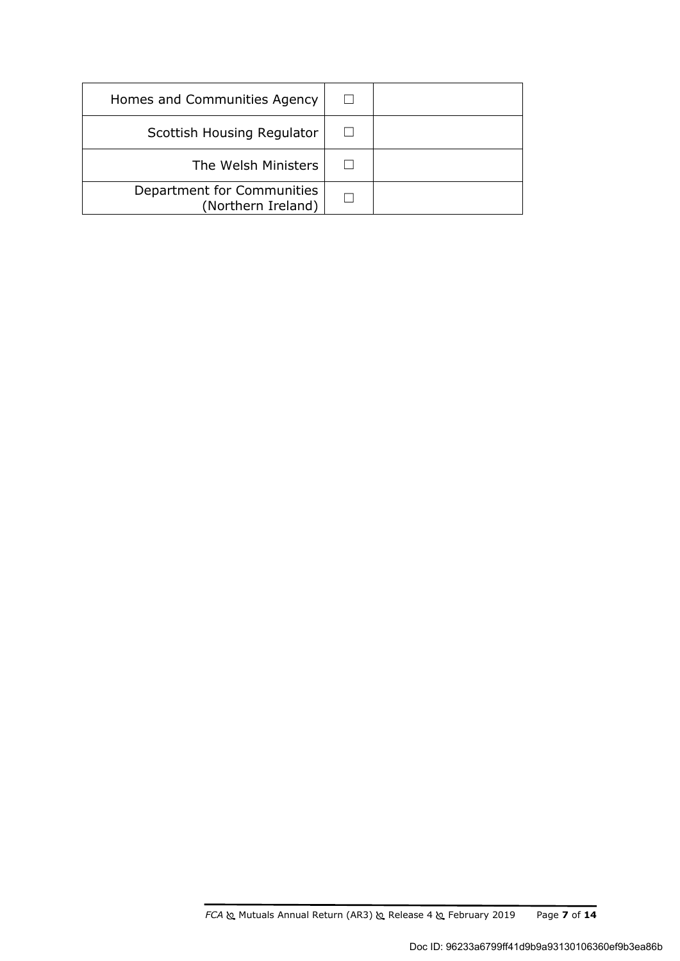| Homes and Communities Agency                     |  |
|--------------------------------------------------|--|
| Scottish Housing Regulator                       |  |
| The Welsh Ministers                              |  |
| Department for Communities<br>(Northern Ireland) |  |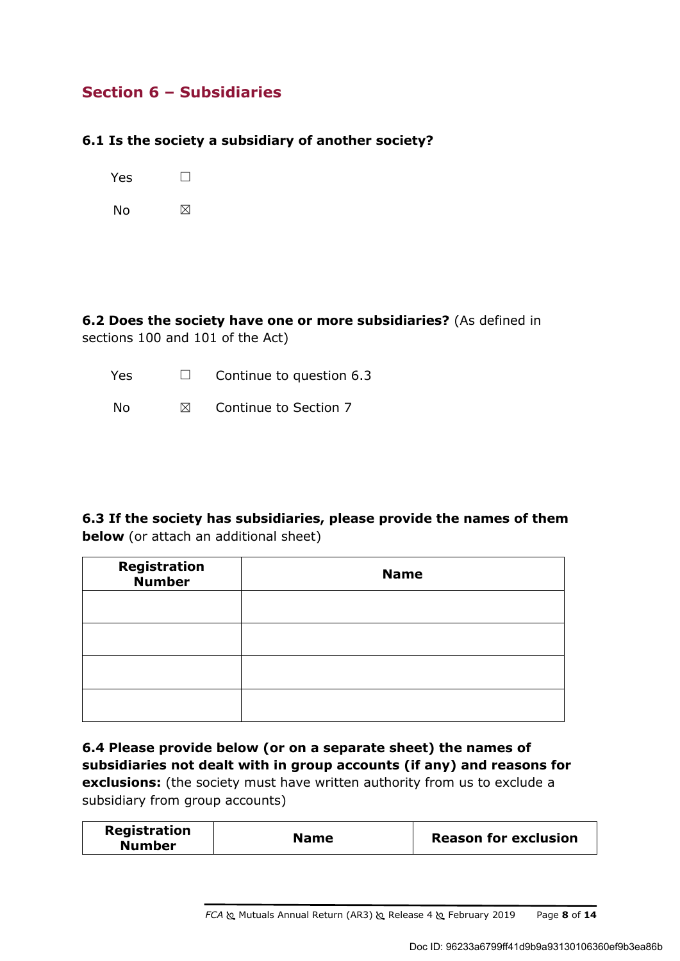## **Section 6 – Subsidiaries**

### **6.1 Is the society a subsidiary of another society?**

Yes □

No  $\boxtimes$ 

**6.2 Does the society have one or more subsidiaries?** (As defined in sections 100 and 101 of the Act)

| Yes | $\Box$    | Continue to question 6.3 |
|-----|-----------|--------------------------|
| No. | $\bowtie$ | Continue to Section 7    |

**6.3 If the society has subsidiaries, please provide the names of them below** (or attach an additional sheet)

| <b>Registration</b><br><b>Number</b> | <b>Name</b> |
|--------------------------------------|-------------|
|                                      |             |
|                                      |             |
|                                      |             |
|                                      |             |

**6.4 Please provide below (or on a separate sheet) the names of subsidiaries not dealt with in group accounts (if any) and reasons for exclusions:** (the society must have written authority from us to exclude a subsidiary from group accounts)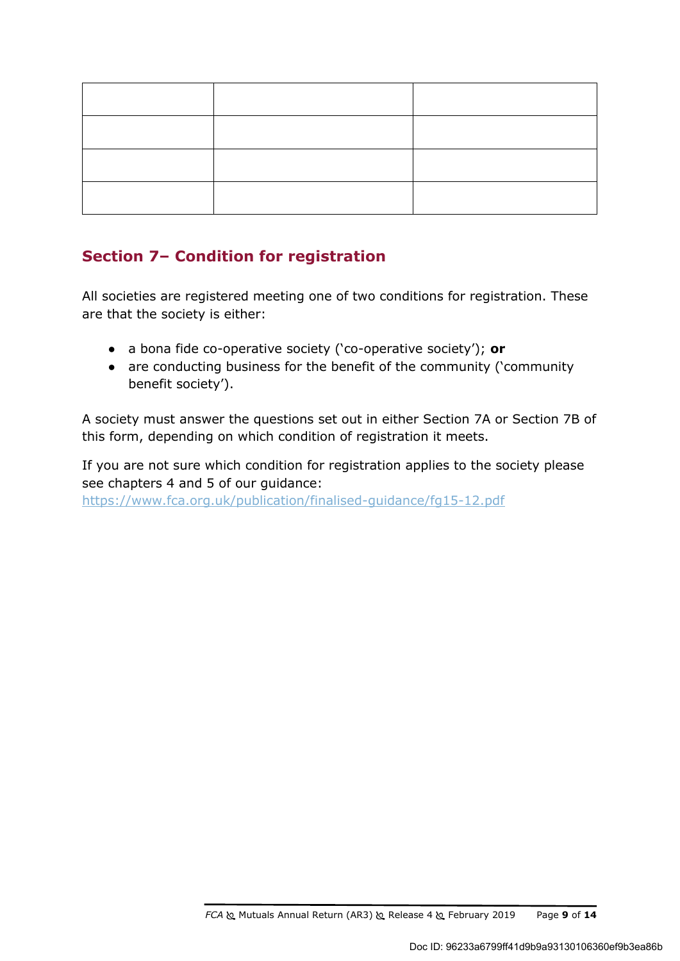## **Section 7– Condition for registration**

All societies are registered meeting one of two conditions for registration. These are that the society is either:

- a bona fide co-operative society ('co-operative society'); **or**
- are conducting business for the benefit of the community ('community benefit society').

A society must answer the questions set out in either Section 7A or Section 7B of this form, depending on which condition of registration it meets.

If you are not sure which condition for registration applies to the society please see chapters 4 and 5 of our guidance: https://www.fca.org.uk/publication/finalised-guidance/fg15-12.pdf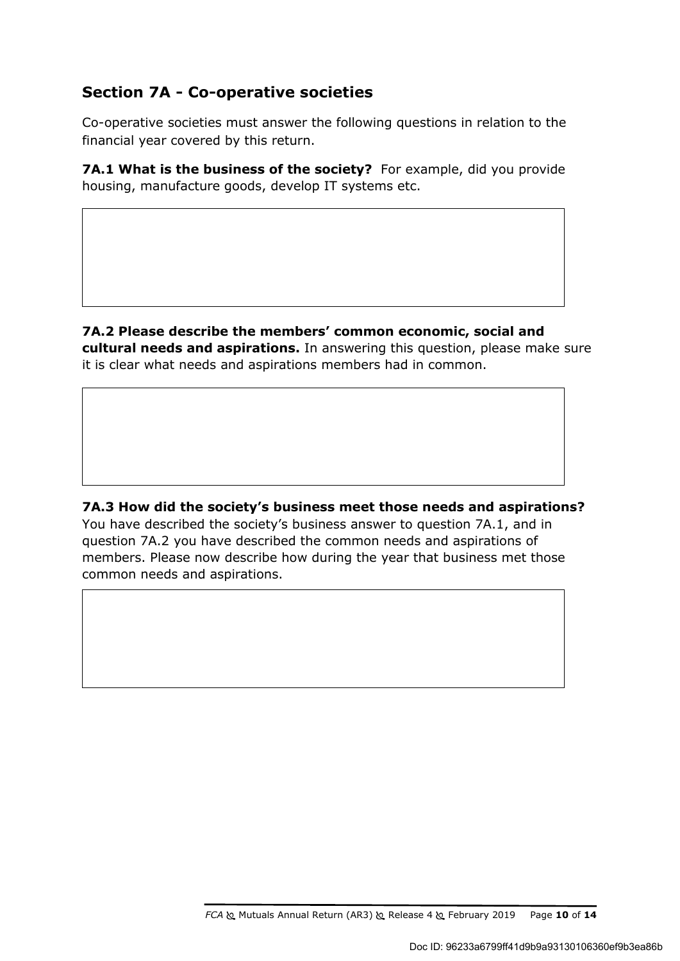## **Section 7A - Co-operative societies**

Co-operative societies must answer the following questions in relation to the financial year covered by this return.

**7A.1 What is the business of the society?** For example, did you provide housing, manufacture goods, develop IT systems etc.

**7A.2 Please describe the members' common economic, social and cultural needs and aspirations.** In answering this question, please make sure it is clear what needs and aspirations members had in common.

**7A.3 How did the society's business meet those needs and aspirations?**  You have described the society's business answer to question 7A.1, and in question 7A.2 you have described the common needs and aspirations of members. Please now describe how during the year that business met those common needs and aspirations.

*FCA* Mutuals Annual Return (AR3) Release 4 February 2019 Page **10** of **14**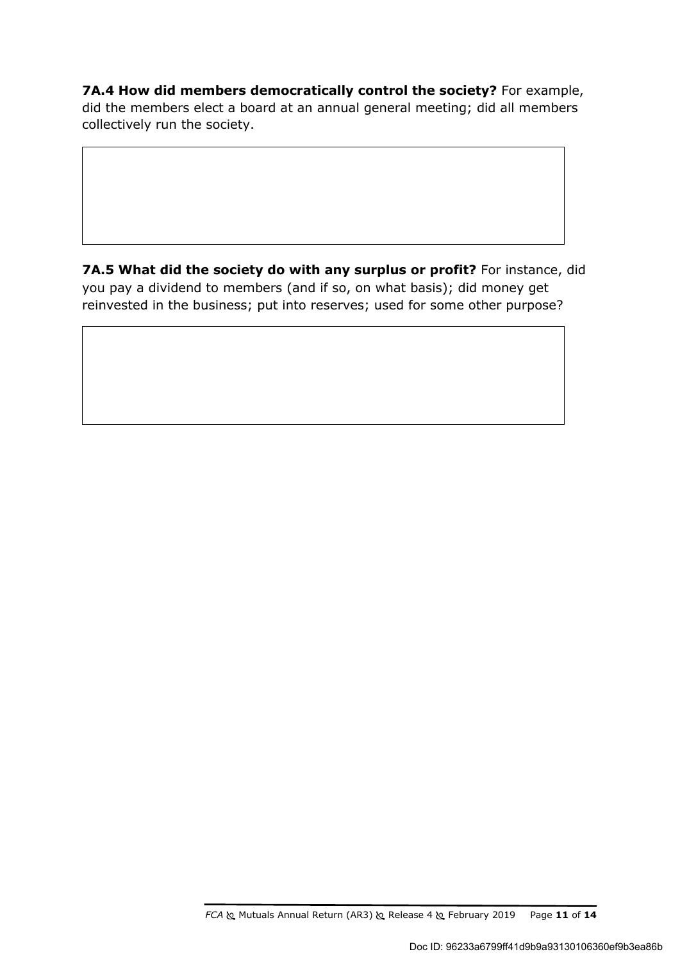**7A.4 How did members democratically control the society?** For example, did the members elect a board at an annual general meeting; did all members collectively run the society.

**7A.5 What did the society do with any surplus or profit?** For instance, did you pay a dividend to members (and if so, on what basis); did money get reinvested in the business; put into reserves; used for some other purpose?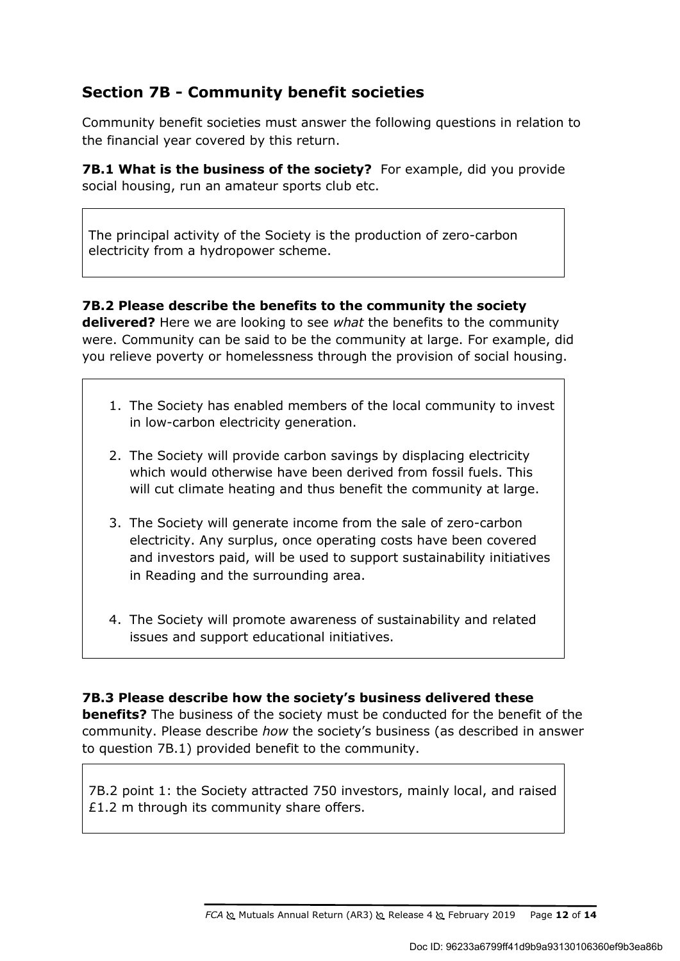## **Section 7B - Community benefit societies**

Community benefit societies must answer the following questions in relation to the financial year covered by this return.

**7B.1 What is the business of the society?** For example, did you provide social housing, run an amateur sports club etc.

The principal activity of the Society is the production of zero-carbon electricity from a hydropower scheme.

### **7B.2 Please describe the benefits to the community the society**

**delivered?** Here we are looking to see *what* the benefits to the community were. Community can be said to be the community at large. For example, did you relieve poverty or homelessness through the provision of social housing.

- 1. The Society has enabled members of the local community to invest in low-carbon electricity generation.
- 2. The Society will provide carbon savings by displacing electricity which would otherwise have been derived from fossil fuels. This will cut climate heating and thus benefit the community at large.
- 3. The Society will generate income from the sale of zero-carbon electricity. Any surplus, once operating costs have been covered and investors paid, will be used to support sustainability initiatives in Reading and the surrounding area.
- 4. The Society will promote awareness of sustainability and related issues and support educational initiatives.

### **7B.3 Please describe how the society's business delivered these**

**benefits?** The business of the society must be conducted for the benefit of the community. Please describe *how* the society's business (as described in answer to question 7B.1) provided benefit to the community.

7B.2 point 1: the Society attracted 750 investors, mainly local, and raised £1.2 m through its community share offers.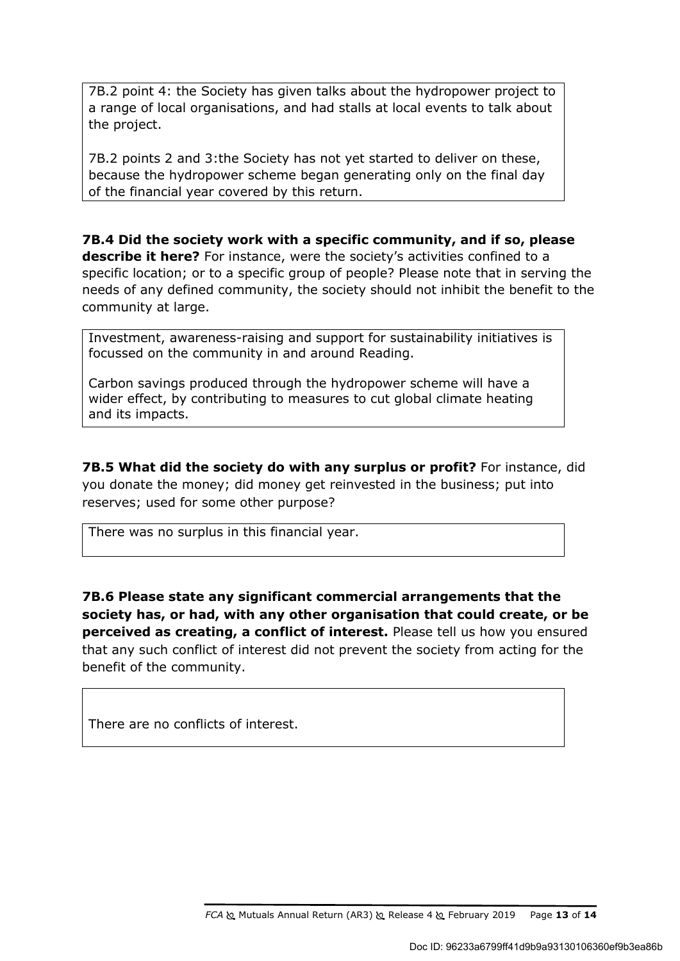7B.2 point 4: the Society has given talks about the hydropower project to a range of local organisations, and had stalls at local events to talk about the project.

7B.2 points 2 and 3:the Society has not yet started to deliver on these, because the hydropower scheme began generating only on the final day of the financial year covered by this return.

**7B.4 Did the society work with a specific community, and if so, please describe it here?** For instance, were the society's activities confined to a specific location; or to a specific group of people? Please note that in serving the needs of any defined community, the society should not inhibit the benefit to the community at large.

Investment, awareness-raising and support for sustainability initiatives is focussed on the community in and around Reading.

Carbon savings produced through the hydropower scheme will have a wider effect, by contributing to measures to cut global climate heating and its impacts.

**7B.5 What did the society do with any surplus or profit?** For instance, did you donate the money; did money get reinvested in the business; put into reserves; used for some other purpose?

There was no surplus in this financial year.

**7B.6 Please state any significant commercial arrangements that the society has, or had, with any other organisation that could create, or be perceived as creating, a conflict of interest.** Please tell us how you ensured that any such conflict of interest did not prevent the society from acting for the benefit of the community.

There are no conflicts of interest.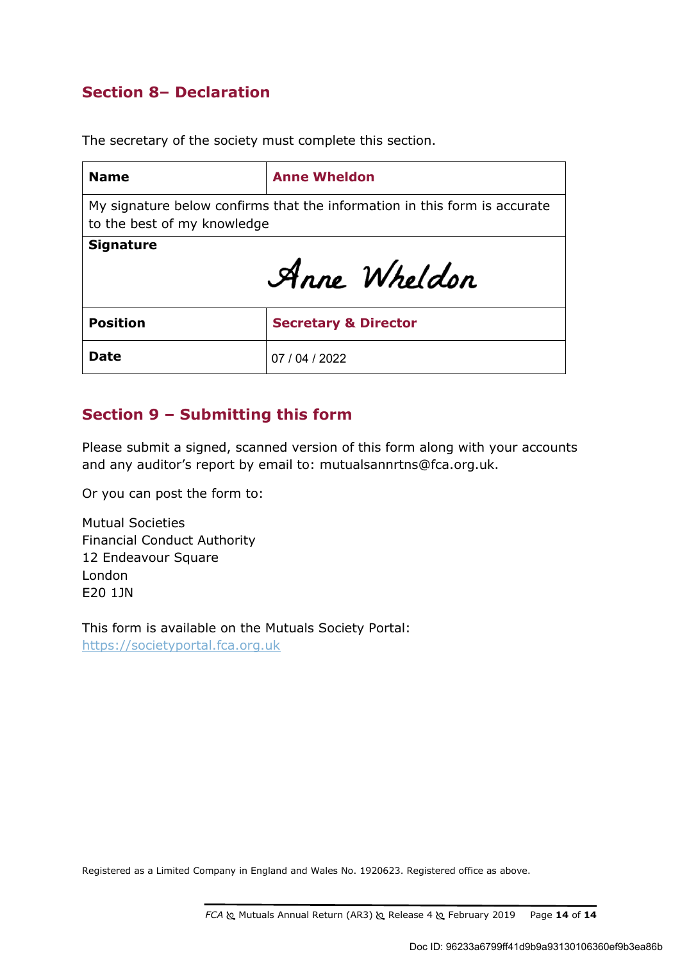## **Section 8– Declaration**

The secretary of the society must complete this section.

| <b>Name</b>                                                                                              | <b>Anne Wheldon</b>             |  |
|----------------------------------------------------------------------------------------------------------|---------------------------------|--|
| My signature below confirms that the information in this form is accurate<br>to the best of my knowledge |                                 |  |
| <b>Signature</b><br>Anne Wheldon                                                                         |                                 |  |
| <b>Position</b>                                                                                          | <b>Secretary &amp; Director</b> |  |
| <b>Date</b>                                                                                              | 07/04/2022                      |  |

## **Section 9 – Submitting this form**

Please submit a signed, scanned version of this form along with your accounts and any auditor's report by email to: mutualsannrtns@fca.org.uk.

Or you can post the form to:

Mutual Societies Financial Conduct Authority 12 Endeavour Square London E20 1JN

This form is available on the Mutuals Society Portal: https://societyportal.fca.org.uk

Registered as a Limited Company in England and Wales No. 1920623. Registered office as above.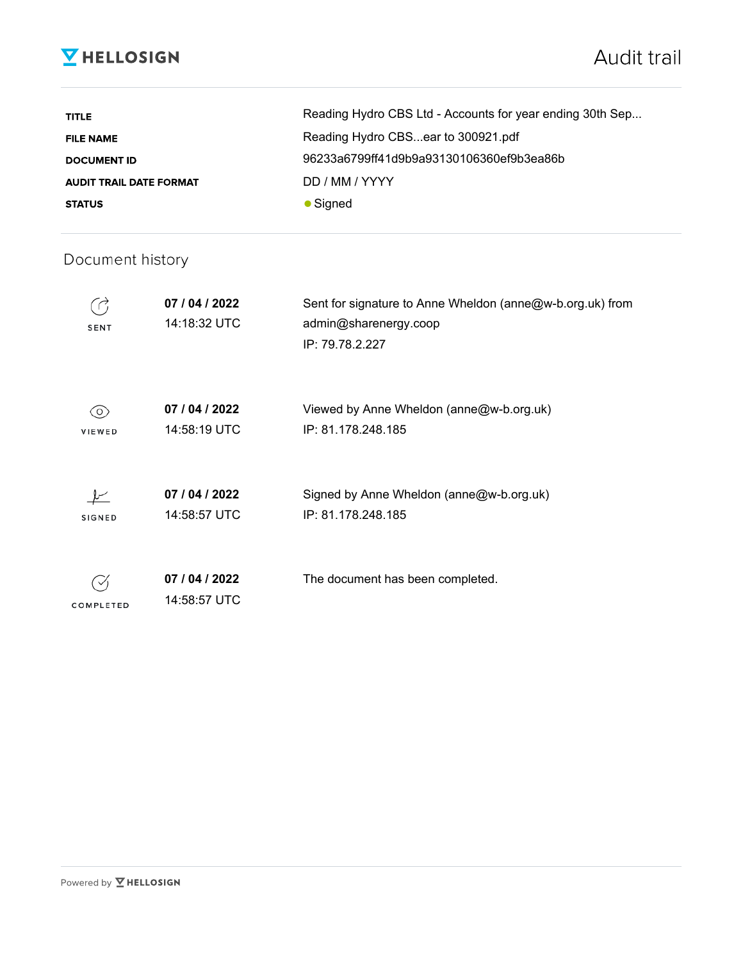## **V** HELLOSIGN

| <b>TITLE</b>                   | Reading Hydro CBS Ltd - Accounts for year ending 30th Sep |
|--------------------------------|-----------------------------------------------------------|
| <b>FILE NAME</b>               | Reading Hydro CBSear to 300921.pdf                        |
| <b>DOCUMENT ID</b>             | 96233a6799ff41d9b9a93130106360ef9b3ea86b                  |
| <b>AUDIT TRAIL DATE FORMAT</b> | DD / MM / YYYY                                            |
| <b>STATUS</b>                  | $\bullet$ Signed                                          |

## Document history

| <b>SENT</b>          | 07 / 04 / 2022<br>14:18:32 UTC | Sent for signature to Anne Wheldon (anne@w-b.org.uk) from<br>admin@sharenergy.coop<br>IP: 79.78.2.227 |
|----------------------|--------------------------------|-------------------------------------------------------------------------------------------------------|
| (0)<br><b>VIEWED</b> | 07 / 04 / 2022<br>14:58:19 UTC | Viewed by Anne Wheldon (anne@w-b.org.uk)<br>IP: 81.178.248.185                                        |
| <b>SIGNED</b>        | 07 / 04 / 2022<br>14:58:57 UTC | Signed by Anne Wheldon (anne@w-b.org.uk)<br>IP: 81.178.248.185                                        |
| COMPLETED            | 07 / 04 / 2022<br>14:58:57 UTC | The document has been completed.                                                                      |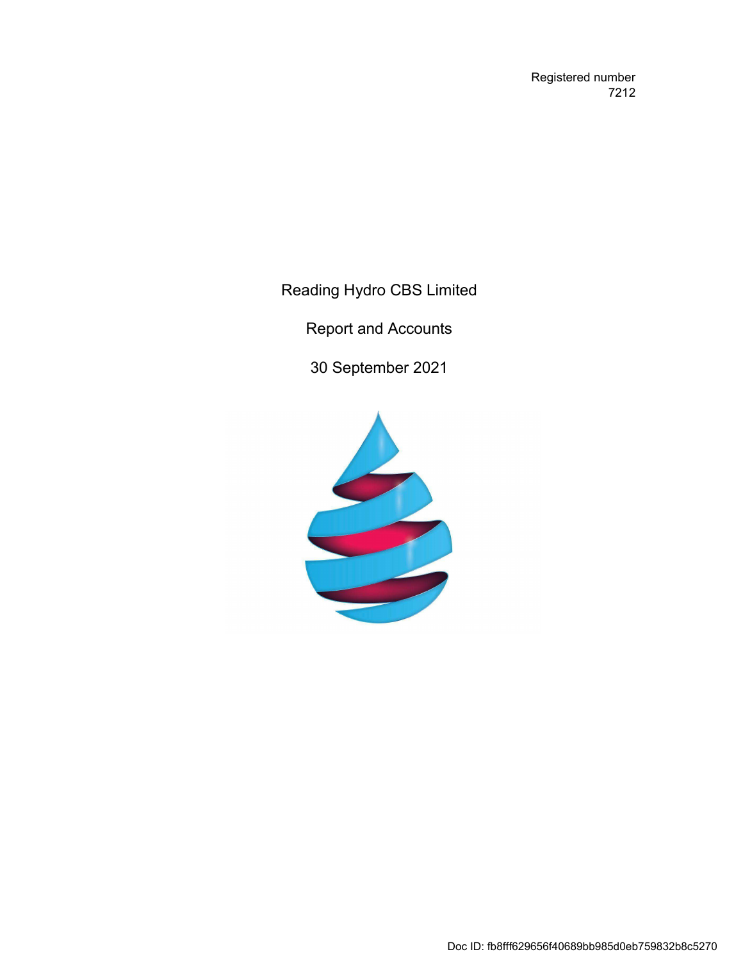Registered number 7212

Reading Hydro CBS Limited

Report and Accounts

30 September 2021

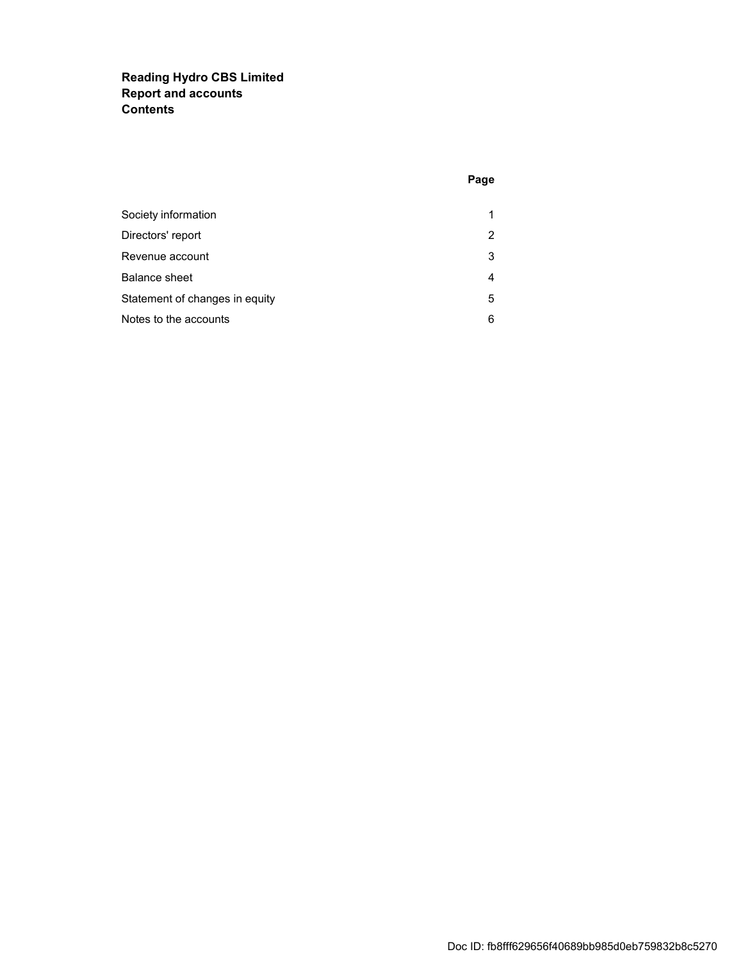### **Reading Hydro CBS Limited Report and accounts Contents**

| Society information            | 1 |
|--------------------------------|---|
| Directors' report              | 2 |
| Revenue account                | 3 |
| <b>Balance sheet</b>           | 4 |
| Statement of changes in equity | 5 |
| Notes to the accounts          | 6 |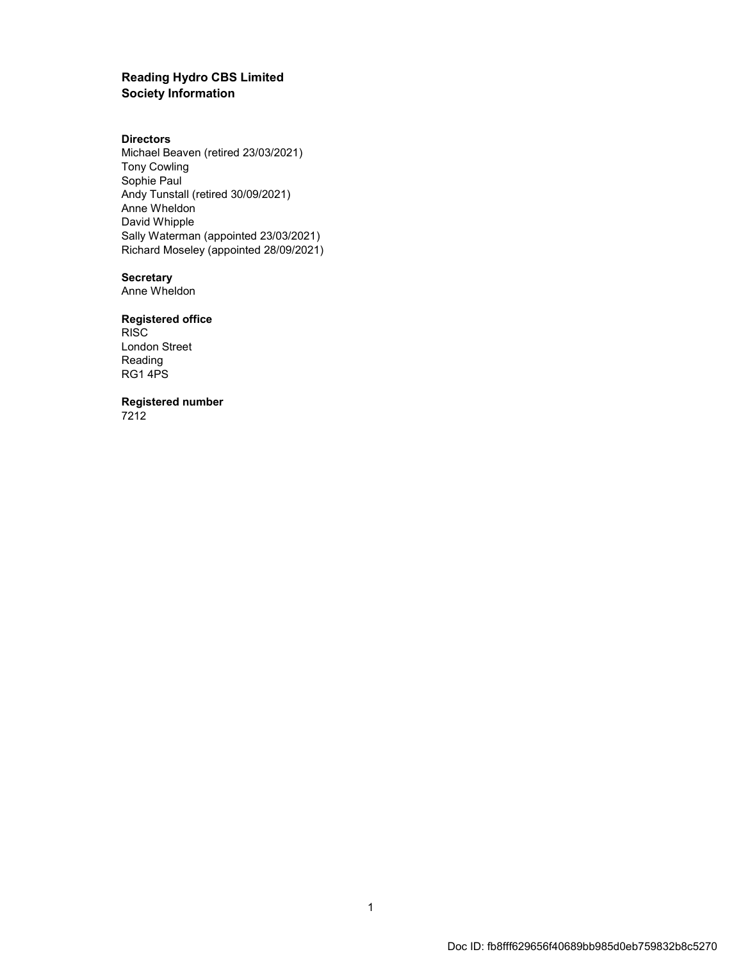#### **Reading Hydro CBS Limited Society Information**

#### **Directors**

Michael Beaven (retired 23/03/2021) Tony Cowling Sophie Paul Andy Tunstall (retired 30/09/2021) Anne Wheldon David Whipple Sally Waterman (appointed 23/03/2021) Richard Moseley (appointed 28/09/2021)

#### **Secretary**

Anne Wheldon

#### **Registered office**

RISC London Street Reading RG1 4PS

**Registered number**

7212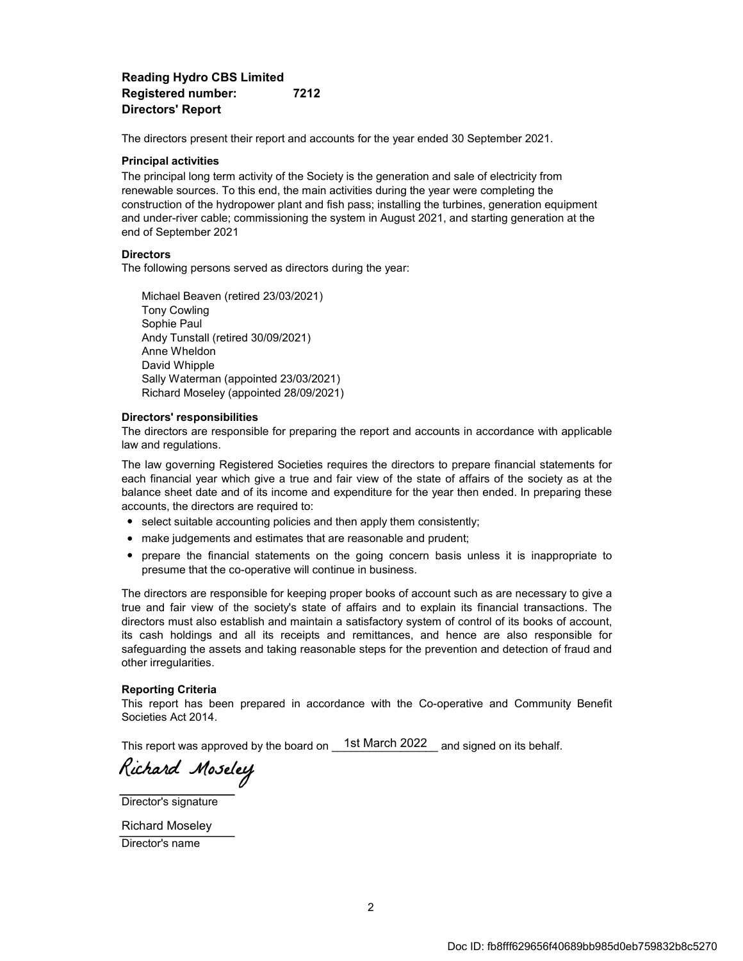#### **Reading Hydro CBS Limited Registered number: 7212 Directors' Report**

The directors present their report and accounts for the year ended 30 September 2021.

#### **Principal activities**

The principal long term activity of the Society is the generation and sale of electricity from renewable sources. To this end, the main activities during the year were completing the construction of the hydropower plant and fish pass; installing the turbines, generation equipment and under-river cable; commissioning the system in August 2021, and starting generation at the end of September 2021

#### **Directors**

The following persons served as directors during the year:

Sally Waterman (appointed 23/03/2021) Richard Moseley (appointed 28/09/2021) Michael Beaven (retired 23/03/2021) David Whipple Tony Cowling Sophie Paul Andy Tunstall (retired 30/09/2021) Anne Wheldon

#### **Directors' responsibilities**

The directors are responsible for preparing the report and accounts in accordance with applicable law and regulations.

The law governing Registered Societies requires the directors to prepare financial statements for each financial year which give a true and fair view of the state of affairs of the society as at the balance sheet date and of its income and expenditure for the year then ended. In preparing these accounts, the directors are required to:

- select suitable accounting policies and then apply them consistently;
- make judgements and estimates that are reasonable and prudent;
- prepare the financial statements on the going concern basis unless it is inappropriate to presume that the co-operative will continue in business.

The directors are responsible for keeping proper books of account such as are necessary to give a true and fair view of the society's state of affairs and to explain its financial transactions. The directors must also establish and maintain a satisfactory system of control of its books of account, its cash holdings and all its receipts and remittances, and hence are also responsible for safeguarding the assets and taking reasonable steps for the prevention and detection of fraud and other irregularities.

#### **Reporting Criteria**

This report has been prepared in accordance with the Co-operative and Community Benefit Societies Act 2014.

This report was approved by the board on  $\_$  1st March 2022  $\_$  and signed on its behalf.

Richard Moseley

Director's signature

Director's name Richard Moseley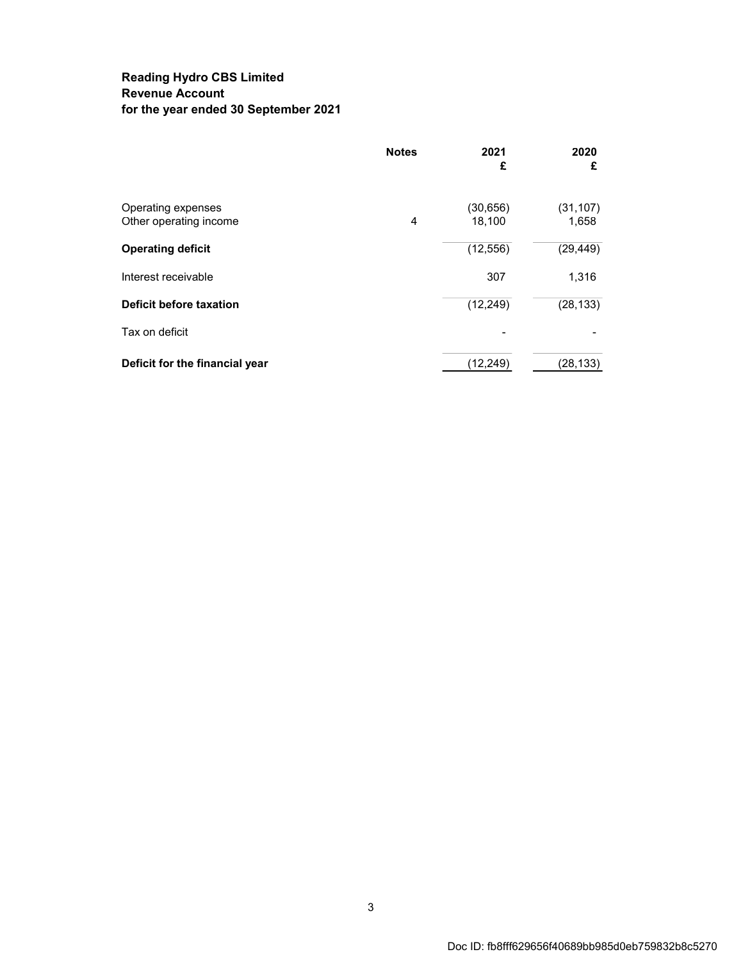### **Reading Hydro CBS Limited Revenue Account for the year ended 30 September 2021**

|                                              | <b>Notes</b> | 2021<br>£           | 2020<br>£          |
|----------------------------------------------|--------------|---------------------|--------------------|
| Operating expenses<br>Other operating income | 4            | (30, 656)<br>18,100 | (31, 107)<br>1,658 |
| <b>Operating deficit</b>                     |              | (12, 556)           | (29, 449)          |
| Interest receivable                          |              | 307                 | 1,316              |
| <b>Deficit before taxation</b>               |              | (12, 249)           | (28, 133)          |
| Tax on deficit                               |              |                     |                    |
| Deficit for the financial year               |              | (12,249)            | (28,133)           |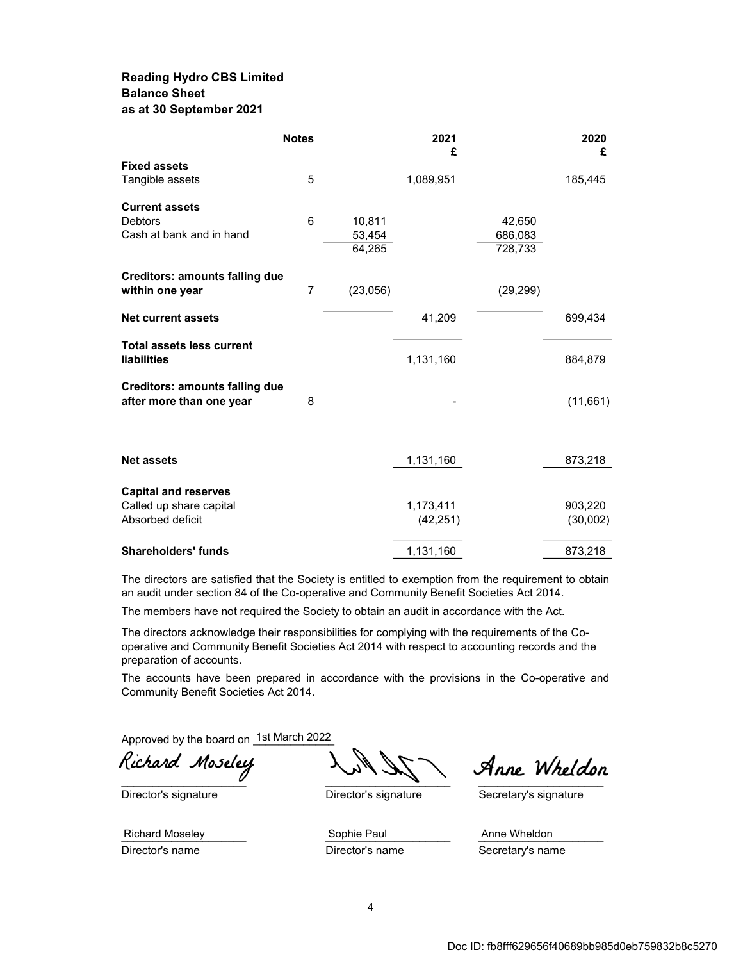#### **Reading Hydro CBS Limited Balance Sheet as at 30 September 2021**

|                                             | <b>Notes</b>   |          | 2021<br>£ |           | 2020<br>£ |
|---------------------------------------------|----------------|----------|-----------|-----------|-----------|
| <b>Fixed assets</b>                         |                |          |           |           |           |
| Tangible assets                             | 5              |          | 1,089,951 |           | 185,445   |
| <b>Current assets</b>                       |                |          |           |           |           |
| <b>Debtors</b>                              | $6\phantom{1}$ | 10,811   |           | 42,650    |           |
| Cash at bank and in hand                    |                | 53,454   |           | 686,083   |           |
|                                             |                | 64,265   |           | 728,733   |           |
| <b>Creditors: amounts falling due</b>       |                |          |           |           |           |
| within one year                             | $\overline{7}$ | (23,056) |           | (29, 299) |           |
| <b>Net current assets</b>                   |                |          | 41,209    |           | 699,434   |
| <b>Total assets less current</b>            |                |          |           |           |           |
| <b>liabilities</b>                          |                |          | 1,131,160 |           | 884,879   |
| <b>Creditors: amounts falling due</b>       |                |          |           |           |           |
| after more than one year                    | 8              |          |           |           | (11,661)  |
|                                             |                |          |           |           |           |
| <b>Net assets</b>                           |                |          | 1,131,160 |           | 873,218   |
|                                             |                |          |           |           |           |
| <b>Capital and reserves</b>                 |                |          |           |           |           |
| Called up share capital<br>Absorbed deficit |                |          | 1,173,411 |           | 903,220   |
|                                             |                |          | (42, 251) |           | (30,002)  |
| <b>Shareholders' funds</b>                  |                |          | 1,131,160 |           | 873,218   |

The directors are satisfied that the Society is entitled to exemption from the requirement to obtain an audit under section 84 of the Co-operative and Community Benefit Societies Act 2014.

The members have not required the Society to obtain an audit in accordance with the Act.

The directors acknowledge their responsibilities for complying with the requirements of the Cooperative and Community Benefit Societies Act 2014 with respect to accounting records and the preparation of accounts.

The accounts have been prepared in accordance with the provisions in the Co-operative and Community Benefit Societies Act 2014.

Approved by the board on 1st March 2022

Director's signature Director's signature Secretary's signature

Richard Moseley LMAN Anne Wheldon

Richard Moseley **Example 20** Sophie Paul **Anne Wheldon** Director's name **Director's name** Secretary's name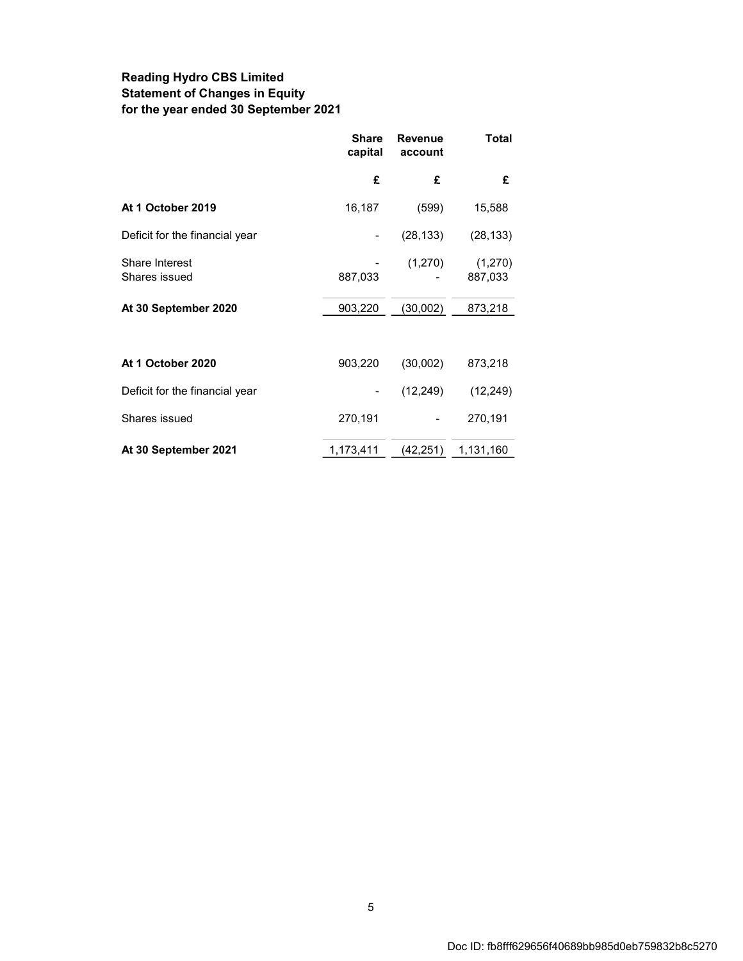### **Reading Hydro CBS Limited Statement of Changes in Equity for the year ended 30 September 2021**

|                                 | <b>Share</b><br>capital | <b>Revenue</b><br>account | Total              |
|---------------------------------|-------------------------|---------------------------|--------------------|
|                                 | £                       | £                         | £                  |
| At 1 October 2019               | 16,187                  | (599)                     | 15,588             |
| Deficit for the financial year  |                         | (28, 133)                 | (28, 133)          |
| Share Interest<br>Shares issued | 887,033                 | (1,270)                   | (1,270)<br>887,033 |
| At 30 September 2020            | 903,220                 | (30,002)                  | 873,218            |
|                                 |                         |                           |                    |
| At 1 October 2020               | 903,220                 | (30,002)                  | 873,218            |
| Deficit for the financial year  |                         | (12, 249)                 | (12, 249)          |
| Shares issued                   | 270,191                 |                           | 270,191            |
| At 30 September 2021            | 1,173,411               | (42, 251)                 | 1,131,160          |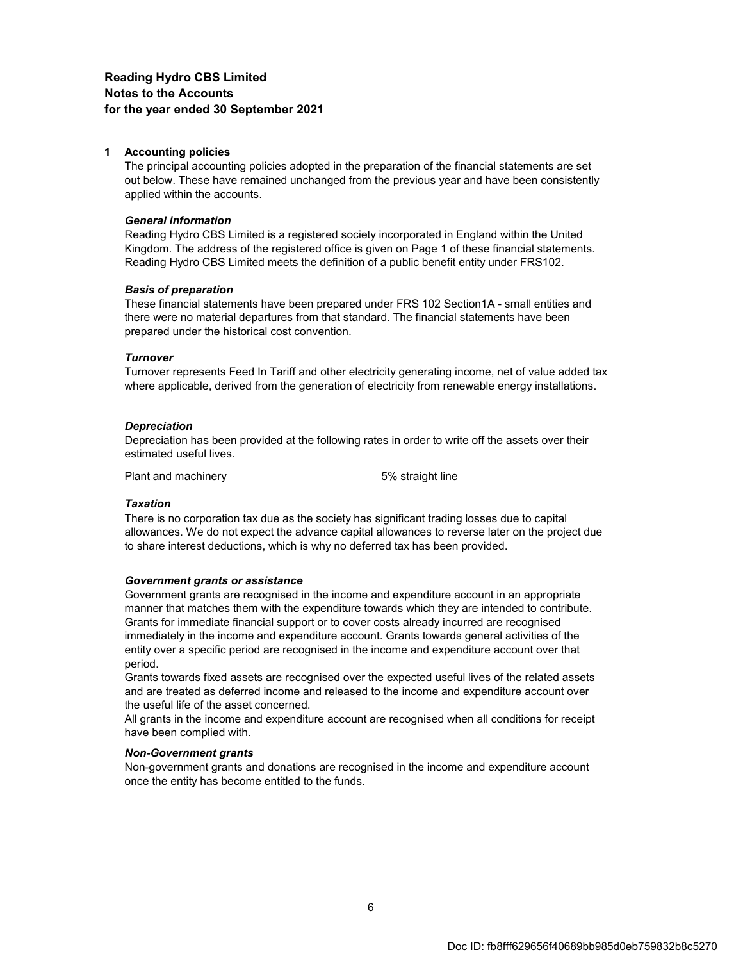#### **Reading Hydro CBS Limited Notes to the Accounts for the year ended 30 September 2021**

#### **1 Accounting policies**

The principal accounting policies adopted in the preparation of the financial statements are set out below. These have remained unchanged from the previous year and have been consistently applied within the accounts.

#### *General information*

Reading Hydro CBS Limited is a registered society incorporated in England within the United Kingdom. The address of the registered office is given on Page 1 of these financial statements. Reading Hydro CBS Limited meets the definition of a public benefit entity under FRS102.

#### *Basis of preparation*

These financial statements have been prepared under FRS 102 Section1A - small entities and there were no material departures from that standard. The financial statements have been prepared under the historical cost convention.

#### *Turnover*

Turnover represents Feed In Tariff and other electricity generating income, net of value added tax where applicable, derived from the generation of electricity from renewable energy installations.

#### *Depreciation*

Depreciation has been provided at the following rates in order to write off the assets over their estimated useful lives.

Plant and machinery example 5% straight line

#### *Taxation*

There is no corporation tax due as the society has significant trading losses due to capital allowances. We do not expect the advance capital allowances to reverse later on the project due to share interest deductions, which is why no deferred tax has been provided.

#### *Government grants or assistance*

Government grants are recognised in the income and expenditure account in an appropriate manner that matches them with the expenditure towards which they are intended to contribute. Grants for immediate financial support or to cover costs already incurred are recognised immediately in the income and expenditure account. Grants towards general activities of the entity over a specific period are recognised in the income and expenditure account over that period.

Grants towards fixed assets are recognised over the expected useful lives of the related assets and are treated as deferred income and released to the income and expenditure account over the useful life of the asset concerned.

All grants in the income and expenditure account are recognised when all conditions for receipt have been complied with.

#### *Non-Government grants*

Non-government grants and donations are recognised in the income and expenditure account once the entity has become entitled to the funds.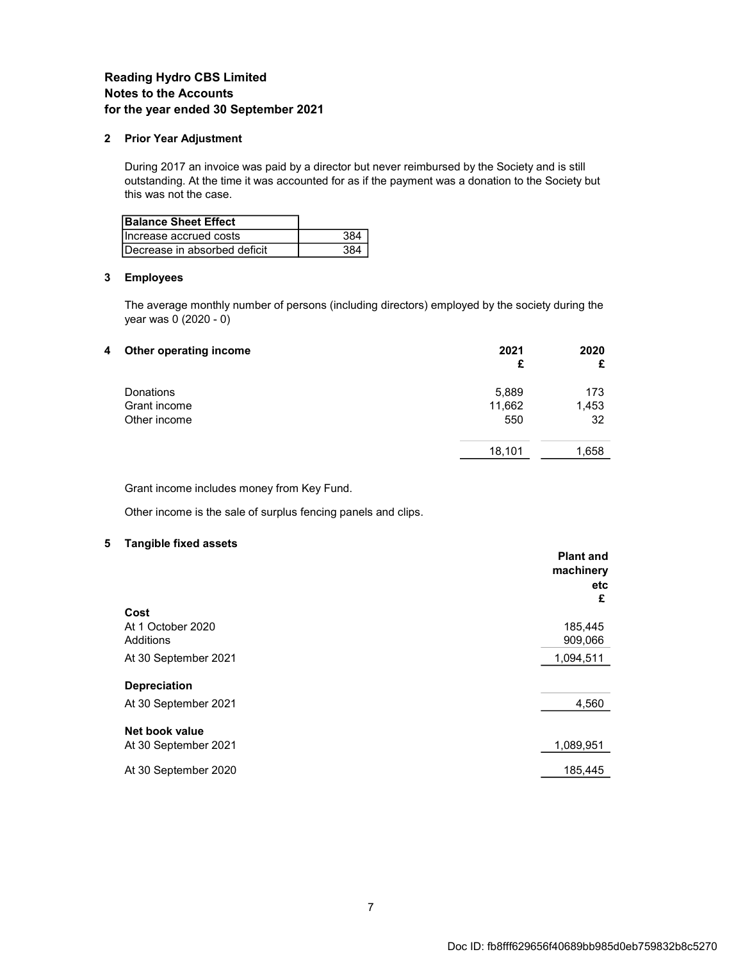#### **Reading Hydro CBS Limited Notes to the Accounts for the year ended 30 September 2021**

#### **2 Prior Year Adjustment**

During 2017 an invoice was paid by a director but never reimbursed by the Society and is still outstanding. At the time it was accounted for as if the payment was a donation to the Society but this was not the case.

| <b>Balance Sheet Effect</b>  |  |
|------------------------------|--|
| Increase accrued costs       |  |
| Decrease in absorbed deficit |  |

#### **3 Employees**

The average monthly number of persons (including directors) employed by the society during the year was 0 (2020 - 0)

| 4 | Other operating income | 2021<br>£ | 2020<br>£ |
|---|------------------------|-----------|-----------|
|   | Donations              | 5,889     | 173       |
|   | Grant income           | 11,662    | 1,453     |
|   | Other income           | 550       | 32        |
|   |                        | 18,101    | 1,658     |

Grant income includes money from Key Fund.

Other income is the sale of surplus fencing panels and clips.

#### **5 Tangible fixed assets**

|                      | <b>Plant and</b><br>machinery<br>etc |
|----------------------|--------------------------------------|
| Cost                 | £                                    |
| At 1 October 2020    | 185,445                              |
| Additions            | 909,066                              |
| At 30 September 2021 | 1,094,511                            |
| <b>Depreciation</b>  |                                      |
| At 30 September 2021 | 4,560                                |
| Net book value       |                                      |
| At 30 September 2021 | 1,089,951                            |
| At 30 September 2020 | 185.445                              |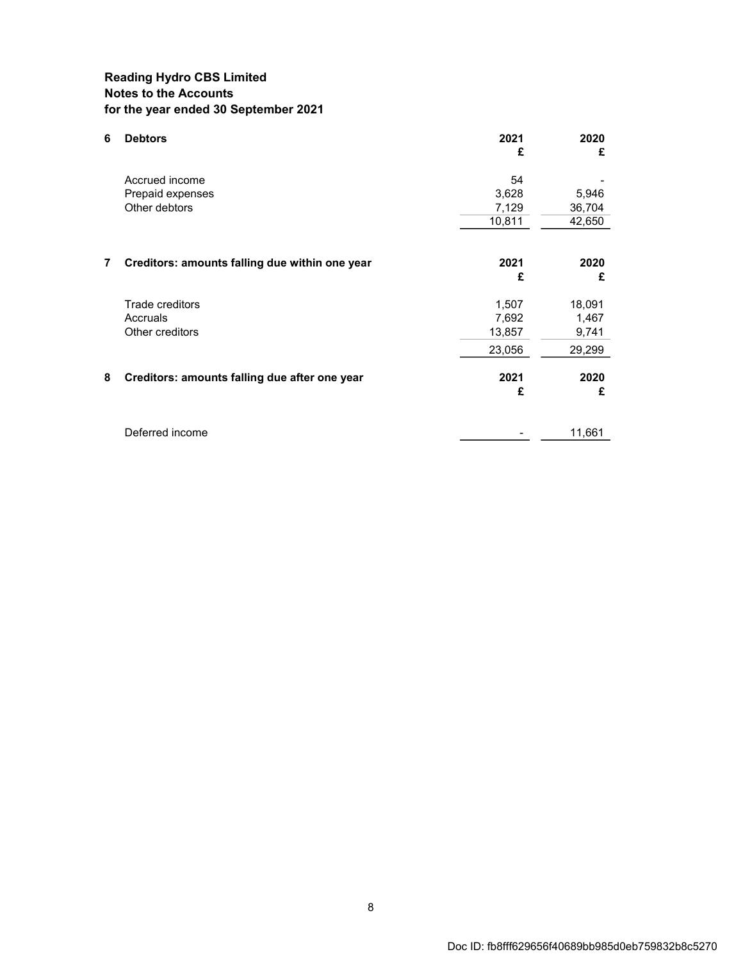### **Reading Hydro CBS Limited Notes to the Accounts for the year ended 30 September 2021**

| 6 | <b>Debtors</b>                                 | 2021<br>£ | 2020<br>£ |
|---|------------------------------------------------|-----------|-----------|
|   | Accrued income                                 | 54        |           |
|   | Prepaid expenses                               | 3,628     | 5,946     |
|   | Other debtors                                  | 7,129     | 36,704    |
|   |                                                | 10,811    | 42,650    |
|   |                                                |           |           |
| 7 | Creditors: amounts falling due within one year | 2021      | 2020      |
|   |                                                | £         | £         |
|   | Trade creditors                                | 1,507     | 18,091    |
|   | Accruals                                       | 7,692     | 1,467     |
|   | Other creditors                                | 13,857    | 9,741     |
|   |                                                | 23,056    | 29,299    |
| 8 | Creditors: amounts falling due after one year  | 2021      | 2020      |
|   |                                                | £         | £         |
|   |                                                |           |           |
|   | Deferred income                                |           | 11,661    |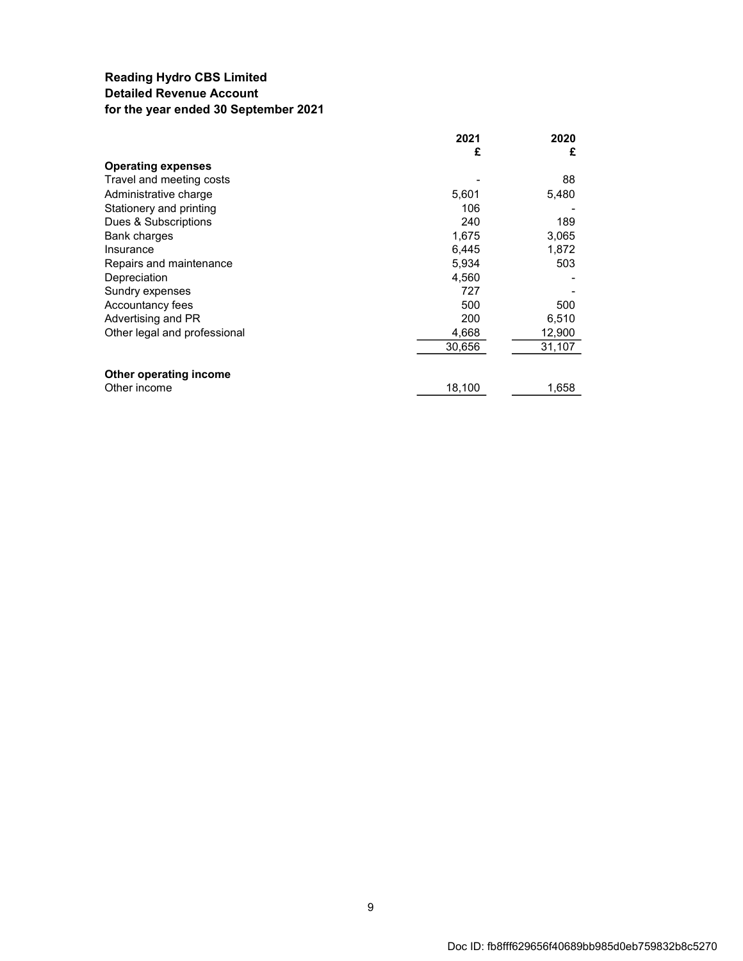### **Reading Hydro CBS Limited Detailed Revenue Account for the year ended 30 September 2021**

|                              | 2021   | 2020   |
|------------------------------|--------|--------|
|                              | £      | £      |
| <b>Operating expenses</b>    |        |        |
| Travel and meeting costs     |        | 88     |
| Administrative charge        | 5,601  | 5,480  |
| Stationery and printing      | 106    |        |
| Dues & Subscriptions         | 240    | 189    |
| Bank charges                 | 1,675  | 3,065  |
| Insurance                    | 6,445  | 1,872  |
| Repairs and maintenance      | 5,934  | 503    |
| Depreciation                 | 4,560  |        |
| Sundry expenses              | 727    |        |
| Accountancy fees             | 500    | 500    |
| Advertising and PR           | 200    | 6,510  |
| Other legal and professional | 4,668  | 12,900 |
|                              | 30,656 | 31,107 |
| Other operating income       |        |        |
| Other income                 | 18,100 | 1,658  |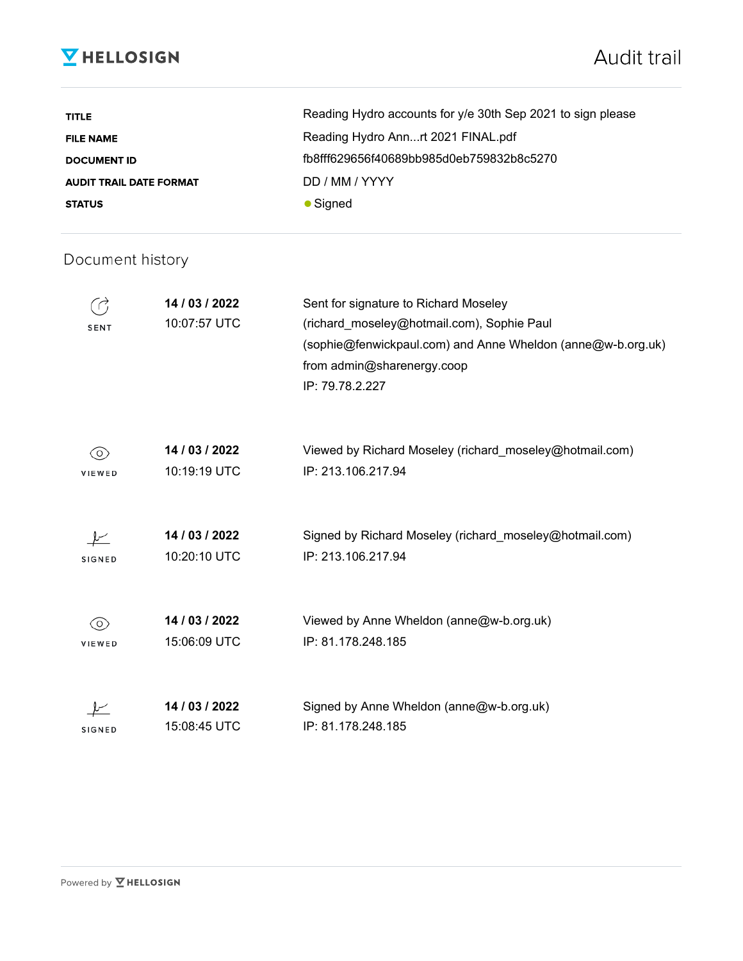## **V** HELLOSIGN

| <b>TITLE</b>                   | Reading Hydro accounts for y/e 30th Sep 2021 to sign please |
|--------------------------------|-------------------------------------------------------------|
| <b>FILE NAME</b>               | Reading Hydro Annrt 2021 FINAL.pdf                          |
| <b>DOCUMENT ID</b>             | fb8fff629656f40689bb985d0eb759832b8c5270                    |
| <b>AUDIT TRAIL DATE FORMAT</b> | DD / MM / YYYY                                              |
| <b>STATUS</b>                  | $\bullet$ Signed                                            |

## Document history

| SENT          | 14 / 03 / 2022<br>10:07:57 UTC | Sent for signature to Richard Moseley<br>(richard_moseley@hotmail.com), Sophie Paul<br>(sophie@fenwickpaul.com) and Anne Wheldon (anne@w-b.org.uk)<br>from admin@sharenergy.coop<br>IP: 79.78.2.227 |
|---------------|--------------------------------|-----------------------------------------------------------------------------------------------------------------------------------------------------------------------------------------------------|
| (O)<br>VIEWED | 14 / 03 / 2022<br>10:19:19 UTC | Viewed by Richard Moseley (richard_moseley@hotmail.com)<br>IP: 213.106.217.94                                                                                                                       |
| <b>SIGNED</b> | 14 / 03 / 2022<br>10:20:10 UTC | Signed by Richard Moseley (richard_moseley@hotmail.com)<br>IP: 213.106.217.94                                                                                                                       |
| (O)<br>VIEWED | 14 / 03 / 2022<br>15:06:09 UTC | Viewed by Anne Wheldon (anne@w-b.org.uk)<br>IP: 81.178.248.185                                                                                                                                      |
| <b>SIGNED</b> | 14 / 03 / 2022<br>15:08:45 UTC | Signed by Anne Wheldon (anne@w-b.org.uk)<br>IP: 81.178.248.185                                                                                                                                      |